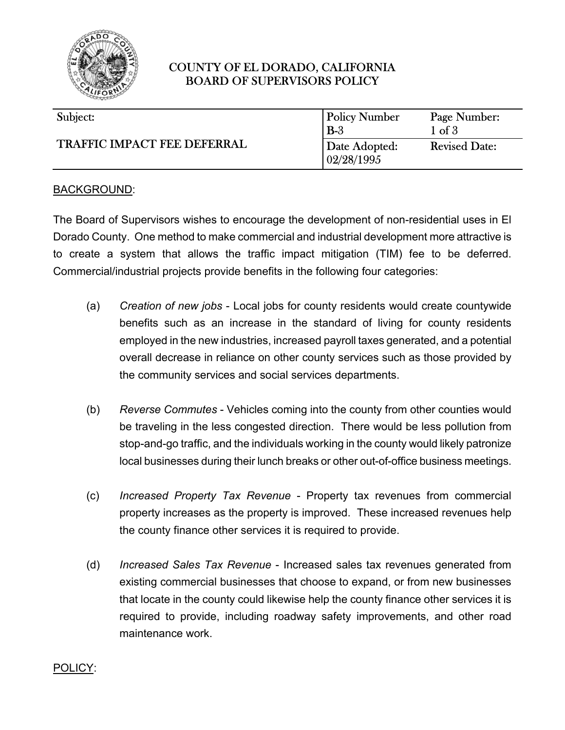

## COUNTY OF EL DORADO, CALIFORNIA BOARD OF SUPERVISORS POLICY

| Subject:                           | <b>Policy Number</b>        | Page Number:         |
|------------------------------------|-----------------------------|----------------------|
| <b>TRAFFIC IMPACT FEE DEFERRAL</b> | $B-3$                       | $1$ of $3$           |
|                                    | Date Adopted:<br>02/28/1995 | <b>Revised Date:</b> |

#### BACKGROUND:

The Board of Supervisors wishes to encourage the development of non-residential uses in El Dorado County. One method to make commercial and industrial development more attractive is to create a system that allows the traffic impact mitigation (TIM) fee to be deferred. Commercial/industrial projects provide benefits in the following four categories:

- (a) *Creation of new jobs* Local jobs for county residents would create countywide benefits such as an increase in the standard of living for county residents employed in the new industries, increased payroll taxes generated, and a potential overall decrease in reliance on other county services such as those provided by the community services and social services departments.
- (b) *Reverse Commutes* Vehicles coming into the county from other counties would be traveling in the less congested direction. There would be less pollution from stop-and-go traffic, and the individuals working in the county would likely patronize local businesses during their lunch breaks or other out-of-office business meetings.
- (c) *Increased Property Tax Revenue* Property tax revenues from commercial property increases as the property is improved. These increased revenues help the county finance other services it is required to provide.
- (d) *Increased Sales Tax Revenue* Increased sales tax revenues generated from existing commercial businesses that choose to expand, or from new businesses that locate in the county could likewise help the county finance other services it is required to provide, including roadway safety improvements, and other road maintenance work.

#### POLICY: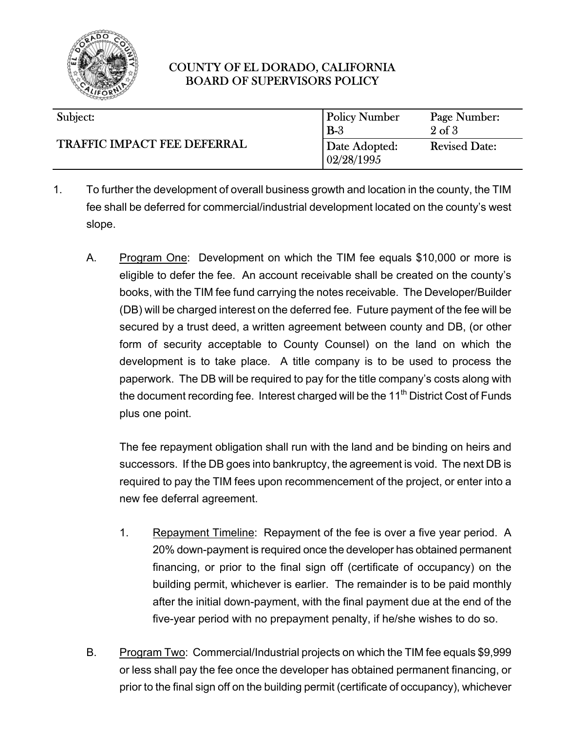

# COUNTY OF EL DORADO, CALIFORNIA BOARD OF SUPERVISORS POLICY

| Subject:                           | <b>Policy Number</b>         | Page Number:         |
|------------------------------------|------------------------------|----------------------|
| <b>TRAFFIC IMPACT FEE DEFERRAL</b> | $B-3$                        | $2$ of $3$           |
|                                    | Date Adopted:<br> 02/28/1995 | <b>Revised Date:</b> |

- 1. To further the development of overall business growth and location in the county, the TIM fee shall be deferred for commercial/industrial development located on the county's west slope.
	- A. Program One: Development on which the TIM fee equals \$10,000 or more is eligible to defer the fee. An account receivable shall be created on the county's books, with the TIM fee fund carrying the notes receivable. The Developer/Builder (DB) will be charged interest on the deferred fee. Future payment of the fee will be secured by a trust deed, a written agreement between county and DB, (or other form of security acceptable to County Counsel) on the land on which the development is to take place. A title company is to be used to process the paperwork. The DB will be required to pay for the title company's costs along with the document recording fee. Interest charged will be the  $11<sup>th</sup>$  District Cost of Funds plus one point.

The fee repayment obligation shall run with the land and be binding on heirs and successors. If the DB goes into bankruptcy, the agreement is void. The next DB is required to pay the TIM fees upon recommencement of the project, or enter into a new fee deferral agreement.

- 1. Repayment Timeline: Repayment of the fee is over a five year period. A 20% down-payment is required once the developer has obtained permanent financing, or prior to the final sign off (certificate of occupancy) on the building permit, whichever is earlier. The remainder is to be paid monthly after the initial down-payment, with the final payment due at the end of the five-year period with no prepayment penalty, if he/she wishes to do so.
- B. Program Two: Commercial/Industrial projects on which the TIM fee equals \$9,999 or less shall pay the fee once the developer has obtained permanent financing, or prior to the final sign off on the building permit (certificate of occupancy), whichever